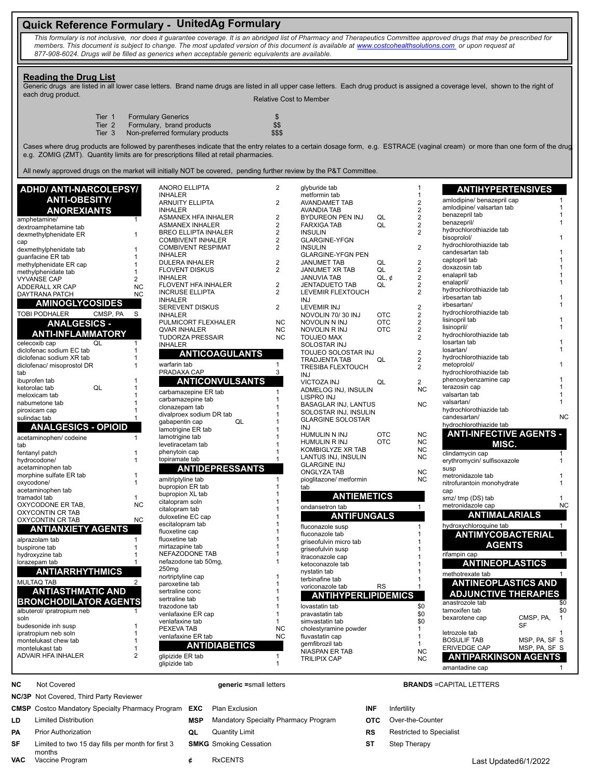# **Quick Reference Formulary - UnitedAg Formulary**

*This formulary is not inclusive, nor does it guarantee coverage. It is an abridged list of Pharmacy and Therapeutics Committee approved drugs that may be prescribed for members. This document is subject to change. The most updated version of this document is available at www.costcohealthsolutions.com or upon request at 877-908-6024. Drugs will be filled as generics when acceptable generic equivalents are available.* 

### **Reading the Drug List**

Generic drugs are listed in all lower case letters. Brand name drugs are listed in all upper case letters. Each drug product is assigned a coverage level, shown to the right of each drug product. Relative Cost to Member

| Tier 1 | <b>Formulary Generics</b>        | \$.    |
|--------|----------------------------------|--------|
| Tier 2 | Formulary, brand products        | \$\$   |
| Tier 3 | Non-preferred formulary products | \$\$\$ |

Cases where drug products are followed by parentheses indicate that the entry relates to a certain dosage form, e.g. ESTRACE (vaginal cream) or more than one form of the drug, e.g. ZOMIG (ZMT). Quantity limits are for prescriptions filled at retail pharmacies.

All newly approved drugs on the market will initially NOT be covered, pending further review by the P&T Committee.

| <b>ADHD/ ANTI-NARCOLEPSY/</b>    |                      | <b>ANORO ELLIPTA</b>        | $\overline{c}$ | glyburide tab               |            | $\mathbf 1$             | <b>ANTIHYPERTENSIVES</b>            |                |
|----------------------------------|----------------------|-----------------------------|----------------|-----------------------------|------------|-------------------------|-------------------------------------|----------------|
| <b>ANTI-OBESITY/</b>             |                      | <b>INHALER</b>              |                | metformin tab               |            | $\mathbf{1}$            | amlodipine/ benazepril cap          | $\mathbf{1}$   |
|                                  |                      | <b>ARNUITY ELLIPTA</b>      | $\overline{2}$ | AVANDAMET TAB               |            | $\overline{2}$          | amlodipine/ valsartan tab           |                |
| <b>ANOREXIANTS</b>               |                      | <b>INHALER</b>              |                | <b>AVANDIA TAB</b>          |            | $\overline{2}$          | benazepril tab                      |                |
| amphetamine/                     | 1                    | ASMANEX HFA INHALER         | $\overline{2}$ | BYDUREON PEN INJ            | QL         | $\overline{2}$          | benazepril/                         |                |
| dextroamphetamine tab            |                      | <b>ASMANEX INHALER</b>      | $\overline{2}$ | <b>FARXIGA TAB</b>          | QL         | $\overline{2}$          | hydrochlorothiazide tab             |                |
| dexmethylphenidate ER            | $\mathbf{1}$         | <b>BREO ELLIPTA INHALER</b> | $\overline{2}$ | <b>INSULIN</b>              |            | $\overline{2}$          |                                     |                |
| cap                              |                      | <b>COMBIVENT INHALER</b>    | $\overline{2}$ | <b>GLARGINE-YFGN</b>        |            |                         | bisoprolol/                         |                |
| dexmethylphenidate tab           | $\overline{1}$       | <b>COMBIVENT RESPIMAT</b>   | 2              | <b>INSULIN</b>              |            | $\overline{2}$          | hydrochlorothiazide tab             |                |
| guanfacine ER tab                | $\overline{1}$       | <b>INHALER</b>              |                | <b>GLARGINE-YFGN PEN</b>    |            |                         | candesartan tab                     |                |
| methylphenidate ER cap           | $\overline{1}$       | <b>DULERA INHALER</b>       | 2              | <b>JANUMET TAB</b>          | QL         | $\overline{\mathbf{c}}$ | captopril tab                       |                |
| methylphenidate tab              | $\mathbf 1$          | <b>FLOVENT DISKUS</b>       | 2              | JANUMET XR TAB              | QL         | $\overline{2}$          | doxazosin tab                       |                |
| <b>VYVANSE CAP</b>               | $\overline{2}$       | <b>INHALER</b>              |                | <b>JANUVIA TAB</b>          | $QL, \phi$ | $\overline{2}$          | enalapril tab                       |                |
| ADDERALL XR CAP                  | <b>NC</b>            | FLOVENT HFA INHALER         | 2              | <b>JENTADUETO TAB</b>       | QL         | $\overline{2}$          | enalapril/                          |                |
| DAYTRANA PATCH                   | <b>NC</b>            | <b>INCRUSE ELLIPTA</b>      | 2              | LEVEMIR FLEXTOUCH           |            | $\overline{2}$          | hydrochlorothiazide tab             |                |
|                                  |                      | <b>INHALER</b>              |                | <b>INJ</b>                  |            |                         | irbesartan tab                      |                |
| <b>AMINOGLYCOSIDES</b>           |                      | SEREVENT DISKUS             | 2              | LEVEMIR INJ                 |            | $\overline{2}$          | irbesartan/                         |                |
| <b>TOBI PODHALER</b><br>CMSP, PA | S                    | <b>INHALER</b>              |                | NOVOLIN 70/30 INJ           | <b>OTC</b> | $\overline{\mathbf{c}}$ | hydrochlorothiazide tab             |                |
| <b>ANALGESICS -</b>              |                      | PULMICORT FLEXHALER         | <b>NC</b>      | NOVOLIN N INJ               | <b>OTC</b> | $\overline{2}$          | lisinopril tab                      |                |
|                                  |                      | <b>QVAR INHALER</b>         | <b>NC</b>      | NOVOLIN R INJ               | <b>OTC</b> | $\overline{c}$          | lisinopril/                         |                |
| <b>ANTI-INFLAMMATORY</b>         |                      | <b>TUDORZA PRESSAIR</b>     | <b>NC</b>      | <b>TOUJEO MAX</b>           |            | $\overline{2}$          | hydrochlorothiazide tab             |                |
| celecoxib cap<br>$\overline{Q}$  |                      | <b>INHALER</b>              |                | SOLOSTAR INJ                |            |                         | losartan tab                        |                |
| diclofenac sodium EC tab         |                      |                             |                |                             |            | $\overline{2}$          | losartan/                           |                |
| diclofenac sodium XR tab         | $\overline{1}$       | <b>ANTICOAGULANTS</b>       |                | TOUJEO SOLOSTAR INJ         |            |                         | hydrochlorothiazide tab             |                |
| diclofenac/ misoprostol DR       | $\overline{1}$       | warfarin tab                |                | <b>TRADJENTA TAB</b>        | QL         | $\overline{2}$          | metoprolol/                         |                |
| tab                              |                      | PRADAXA CAP                 | 3              | <b>TRESIBA FLEXTOUCH</b>    |            | $\overline{2}$          | hydrochlorothiazide tab             |                |
| ibuprofen tab                    |                      |                             |                | <b>INJ</b>                  |            |                         | phenoxybenzamine cap                |                |
| QL<br>ketorolac tab              |                      | <b>ANTICONVULSANTS</b>      |                | VICTOZA INJ                 | QL         | $\overline{2}$          | terazosin cap                       |                |
|                                  |                      | carbamazepine ER tab        |                | ADMELOG INJ, INSULIN        |            | <b>NC</b>               | valsartan tab                       |                |
| meloxicam tab                    |                      | carbamazepine tab           |                | LISPRO INJ                  |            |                         | valsartan/                          |                |
| nabumetone tab                   |                      | clonazepam tab              |                | <b>BASAGLAR INJ, LANTUS</b> |            | <b>NC</b>               | hydrochlorothiazide tab             |                |
| piroxicam cap                    |                      | divalproex sodium DR tab    |                | SOLOSTAR INJ, INSULIN       |            |                         |                                     |                |
| sulindac tab                     |                      | QL<br>gabapentin cap        |                | <b>GLARGINE SOLOSTAR</b>    |            |                         | candesartan/                        | <b>NC</b>      |
| <b>ANALGESICS - OPIOID</b>       |                      | lamotrigine ER tab          |                | <b>INJ</b>                  |            |                         | hydrochlorothiazide tab             |                |
| acetaminophen/ codeine           | $\blacktriangleleft$ | lamotrigine tab             |                | HUMULIN N INJ               | <b>OTC</b> | <b>NC</b>               | <b>ANTI-INFECTIVE AGENTS -</b>      |                |
|                                  |                      | levetiracetam tab           |                | HUMULIN R INJ               | <b>OTC</b> | <b>NC</b>               | MISC.                               |                |
| tab                              |                      | phenytoin cap               |                | KOMBIGLYZE XR TAB           |            | <b>NC</b>               |                                     |                |
| fentanyl patch                   | $\overline{1}$       | topiramate tab              |                | LANTUS INJ, INSULIN         |            | <b>NC</b>               | clindamycin cap                     | 1              |
| hydrocodone/                     |                      |                             |                | <b>GLARGINE INJ</b>         |            |                         | erythromycin/ sulfisoxazole         | 1              |
| acetaminophen tab                |                      | <b>ANTIDEPRESSANTS</b>      |                | <b>ONGLYZA TAB</b>          |            | <b>NC</b>               | susp                                |                |
| morphine sulfate ER tab          | $\overline{1}$       | amitriptyline tab           | $\mathbf{1}$   | pioglitazone/ metformin     |            | <b>NC</b>               | metronidazole tab                   |                |
| oxycodone/                       | $\mathbf 1$          | bupropion ER tab            | $\mathbf 1$    | tab                         |            |                         | nitrofurantoin monohydrate          | $\mathbf 1$    |
| acetaminophen tab                |                      | bupropion XL tab            | 1              |                             |            |                         | cap                                 |                |
| tramadol tab                     | $\mathbf{1}$         | citalopram soln             |                | <b>ANTIEMETICS</b>          |            |                         | smz/ tmp (DS) tab                   | 1              |
| OXYCODONE ER TAB,                | <b>NC</b>            | citalopram tab              |                | ondansetron tab             |            | $\mathbf{1}$            | metronidazole cap                   | <b>NC</b>      |
| OXYCONTIN CR TAB                 |                      | duloxetine EC cap           |                | <b>ANTIFUNGALS</b>          |            |                         | <b>ANTIMALARIALS</b>                |                |
| OXYCONTIN CR TAB                 | <b>NC</b>            | escitalopram tab            |                |                             |            |                         |                                     |                |
| <b>ANTIANXIETY AGENTS</b>        |                      | fluoxetine cap              |                | fluconazole susp            |            | $\mathbf{1}$            | hydroxychloroquine tab              | $\mathbf{1}$   |
|                                  |                      | fluoxetine tab              |                | fluconazole tab             |            | 1                       | <b>ANTIMYCOBACTERIAL</b>            |                |
| alprazolam tab                   |                      |                             |                | griseofulvin micro tab      |            | 1                       | <b>AGENTS</b>                       |                |
| buspirone tab                    |                      | mirtazapine tab             |                | griseofulvin susp           |            |                         |                                     |                |
| hydroxyzine tab                  |                      | NEFAZODONE TAB              |                | itraconazole cap            |            |                         | rifampin cap                        |                |
| lorazepam tab                    |                      | nefazodone tab 50mg,        |                | ketoconazole tab            |            |                         | <b>ANTINEOPLASTICS</b>              |                |
| <b>ANTIARRHYTHMICS</b>           |                      | 250 <sub>mg</sub>           |                | nystatin tab                |            |                         | methotrexate tab                    |                |
| <b>MULTAQ TAB</b>                | $\overline{2}$       | nortriptyline cap           |                | terbinafine tab             |            |                         |                                     |                |
|                                  |                      | paroxetine tab              |                | voriconazole tab            | <b>RS</b>  |                         | <b>ANTINEOPLASTICS AND</b>          |                |
| <b>ANTIASTHMATIC AND</b>         |                      | sertraline conc             |                | <b>ANTIHYPERLIPIDEMICS</b>  |            |                         | <b>ADJUNCTIVE THERAPIES</b>         |                |
| <b>BRONCHODILATOR AGENTS</b>     |                      | sertraline tab              |                |                             |            |                         | anastrozole tab                     | \$0            |
|                                  |                      | trazodone tab               |                | lovastatin tab              |            | \$0                     | tamoxifen tab                       | \$0            |
| albuterol/ ipratropium neb       |                      | venlafaxine ER cap          |                | pravastatin tab             |            | \$0                     | CMSP, PA,<br>bexarotene cap         | $\overline{1}$ |
| soln                             | $\overline{1}$       | venlafaxine tab             |                | simvastatin tab             |            | \$0                     | <b>SF</b>                           |                |
| budesonide inh susp              |                      | PEXEVA TAB                  | <b>NC</b>      | cholestyramine powder       |            | $\mathbf{1}$            |                                     |                |
| ipratropium neb soln             | $\overline{1}$       | venlafaxine ER tab          | <b>NC</b>      | fluvastatin cap             |            | $\mathbf{1}$            | letrozole tab                       |                |
| montelukast chew tab             |                      | <b>ANTIDIABETICS</b>        |                | gemfibrozil tab             |            | $\mathbf{1}$            | MSP, PA, SF S<br><b>BOSULIF TAB</b> |                |
| montelukast tab                  | $\mathbf 1$          |                             |                | NIASPAN ER TAB              |            | <b>NC</b>               | MSP, PA, SF S<br>ERIVEDGE CAP       |                |
| ADVAIR HFA INHALER               | $\overline{2}$       | glipizide ER tab            | $\mathbf{1}$   | <b>TRILIPIX CAP</b>         |            | <b>NC</b>               | <b>ANTIPARKINSON AGENTS</b>         |                |
|                                  |                      | glipizide tab               | $\mathbf{1}$   |                             |            |                         | amantadine cap                      |                |
|                                  |                      |                             |                |                             |            |                         |                                     |                |

**NC/3P** Not Covered, Third Party Reviewer

**CMSP** Costco Mandatory Specialty Pharmacy Program **EXC** Plan Exclusion **INF** Infertility

- 
- **PA** Prior Authorization **QL** Quantity Limit **RS** Restricted to Specialist
- **SF** Limited to two 15 day fills per month for first 3 months<br>Vaccine Program **VAC** Vaccine Program **¢** RxCENTS Last Updated6/1/2022
- 
- **LD** Limited Distribution **MSP** Mandatory Specialty Pharmacy Program **OTC** Over-the-Counter
	-
	- -

### **NC** Not Covered **generic =**small letters **BRANDS** =CAPITAL LETTERS

- 
- 
- 
- **SMKG** Smoking Cessation **ST** Step Therapy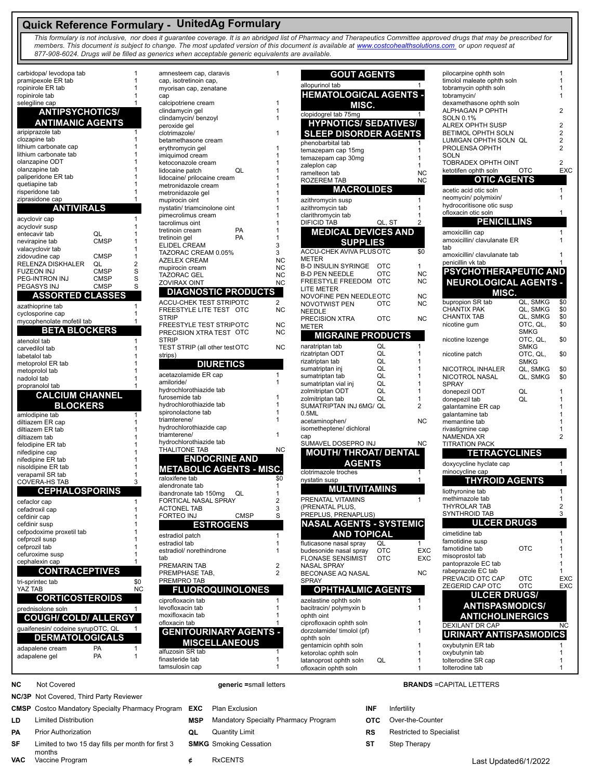# **Quick Reference Formulary - UnitedAg Formulary**

*This formulary is not inclusive, nor does it guarantee coverage. It is an abridged list of Pharmacy and Therapeutics Committee approved drugs that may be prescribed for members. This document is subject to change. The most updated version of this document is available at www.costcohealthsolutions.com or upon request at 877-908-6024. Drugs will be filled as generics when acceptable generic equivalents are available.* 

۳

| carbidopa/ levodopa tab               | 1              | amnesteem cap, claravis                            | 1                      |
|---------------------------------------|----------------|----------------------------------------------------|------------------------|
| pramipexole ER tab                    | 1              | cap, isotretinoin cap,                             |                        |
| ropinirole ER tab                     | 1              | myorisan cap, zenatane                             |                        |
| ropinirole tab                        | 1<br>1         | cap                                                |                        |
| selegiline cap                        |                | calcipotriene cream<br>clindamycin gel             | 1<br>1                 |
| <b>ANTIPSYCHOTICS/</b>                |                | clindamycin/ benzoyl                               | 1                      |
| <b>ANTIMANIC AGENTS</b>               |                | peroxide gel                                       |                        |
| aripiprazole tab                      | 1              | clotrimazole/                                      | 1                      |
| clozapine tab                         | 1              | betamethasone cream                                |                        |
| lithium carbonate cap                 | 1              | erythromycin gel                                   | 1                      |
| lithium carbonate tab                 | 1<br>1         | imiquimod cream                                    | 1                      |
| olanzapine ODT<br>olanzapine tab      | 1              | ketoconazole cream                                 | 1                      |
| paliperidone ER tab                   | 1              | QL<br>lidocaine patch                              | 1<br>1                 |
| quetiapine tab                        | 1              | lidocaine/ prilocaine cream<br>metronidazole cream | 1                      |
| risperidone tab                       | 1              | metronidazole gel                                  | 1                      |
| ziprasidone cap                       | 1              | mupirocin oint                                     | 1                      |
| <b>ANTIVIRALS</b>                     |                | nystatin/ triamcinolone oint                       | 1                      |
|                                       | 1              | pimecrolimus cream                                 | 1                      |
| acyclovir cap                         | 1              | tacrolimus oint                                    | 1                      |
| acyclovir susp<br>QL<br>entecavir tab | 1              | <b>PA</b><br>tretinoin cream                       | 1                      |
| <b>CMSP</b><br>nevirapine tab         | 1              | <b>PA</b><br>tretinoin gel                         | 1                      |
| valacyclovir tab                      | 1              | <b>ELIDEL CREAM</b>                                | 3                      |
| zidovudine cap<br><b>CMSP</b>         | 1              | TAZORAC CREAM 0.05%                                | 3                      |
| RELENZA DISKHALER<br>QL               | $\overline{2}$ | <b>AZELEX CREAM</b>                                | NC                     |
| FUZEON INJ<br><b>CMSP</b>             | S              | mupirocin cream                                    | NC                     |
| PEG-INTRON INJ<br><b>CMSP</b>         | S              | TAZORAC GEL                                        | <b>NC</b><br><b>NC</b> |
| PEGASYS INJ<br><b>CMSP</b>            | S              | ZOVIRAX OINT                                       |                        |
| <b>ASSORTED CLASSES</b>               |                | <b>DIAGNOSTIC PRODUCTS</b>                         |                        |
| azathioprine tab                      | 1              | ACCU-CHEK TEST STRIPOTC                            | $\overline{2}$         |
| cyclosporine cap                      | 1              | FREESTYLE LITE TEST OTC                            | <b>NC</b>              |
| mycophenolate mofetil tab             | 1              | <b>STRIP</b>                                       |                        |
| <b>BETA BLOCKERS</b>                  |                | FREESTYLE TEST STRIPOTC                            | NC                     |
|                                       |                | PRECISION XTRA TEST OTC                            | NC                     |
| atenolol tab                          | 1              | STRIP                                              |                        |
| carvedilol tab                        | 1              | TEST STRIP (all other test OTC                     | NC                     |
| labetalol tab                         | 1              | strips)                                            |                        |
| metoprolol ER tab                     | 1              | <b>DIURETICS</b>                                   |                        |
| metoprolol tab                        | 1<br>1         | acetazolamide ER cap                               | 1                      |
| nadolol tab<br>propranolol tab        | 1              | amiloride/                                         | 1                      |
|                                       |                | hydrochlorothiazide tab                            |                        |
| <b>CALCIUM CHANNEL</b>                |                | furosemide tab                                     | 1                      |
| <b>BLOCKERS</b>                       |                | hydrochlorothiazide tab                            | 1                      |
| amlodipine tab                        | 1              | spironolactone tab                                 | 1                      |
| diltiazem ER cap                      | 1              | triamterene/                                       | 1                      |
| diltiazem ER tab                      | 1              | hydrochlorothiazide cap                            |                        |
| diltiazem tab                         | 1              | triamterene/                                       | 1                      |
| felodipine ER tab                     | 1              | hydrochlorothiazide tab<br>THALITONE TAB           | <b>NC</b>              |
| nifedipine cap                        | 1              |                                                    |                        |
| nifedipine ER tab                     | 1              | <b>ENDOCRINE AND</b>                               |                        |
| nisoldipine ER tab                    | 1<br>1         | <b>METABOLIC AGENTS - MISC.</b>                    |                        |
| verapamil SR tab                      | 3              | raloxifene tab                                     | \$0                    |
| COVERA-HS TAB                         |                | alendronate tab                                    | 1                      |
| <b>CEPHALOSPORINS</b>                 |                | ibandronate tab 150mg<br>QL                        | 1                      |
| cefaclor cap                          | 1              | <b>FORTICAL NASAL SPRAY</b>                        | 2                      |
| cefadroxil cap                        | 1              | ACTONEL TAB                                        | 3                      |
| cefdinir cap                          | 1              | <b>FORTEO INJ</b><br><b>CMSP</b>                   | S                      |
| cefdinir susp                         | 1              | <b>ESTROGENS</b>                                   |                        |
| cefpodoxime proxetil tab              | 1              | estradiol patch                                    | 1                      |
| cefprozil susp                        | 1<br>1         | estradiol tab                                      | 1                      |
| cefprozil tab                         | 1              | estradiol/ norethindrone                           | 1                      |
| cefuroxime susp                       | 1              | tab                                                |                        |
| cephalexin cap                        |                | PREMARIN TAB                                       | 2                      |
| <b>CONTRACEPTIVES</b>                 |                | PREMPHASE TAB,                                     | 2                      |
| tri-sprintec tab                      | \$0            | PREMPRO TAB                                        |                        |
| YAZ TAB                               | ΝC             | <b>FLUOROQUINOLONES</b>                            |                        |
| <b>CORTICOSTEROIDS</b>                |                | ciprofloxacin tab                                  | 1                      |
| prednisolone soln                     | 1              | levofloxacin tab                                   | 1                      |
| <b>COUGH/ COLD/ ALLERGY</b>           |                | moxifloxacin tab                                   | 1                      |
|                                       |                | ofloxacin tab                                      | 1                      |
| guaifenesin/ codeine syrupOTC, QL     | 1              | <b>GENITOURINARY AGENTS -</b>                      |                        |
| <b>DERMATOLOGICALS</b>                |                | <b>MISCELLANEOUS</b>                               |                        |
| PA<br>adapalene cream                 | 1              |                                                    |                        |
| adapalene gel<br><b>PA</b>            | 1              | alfuzosin SR tab                                   | 1                      |
|                                       |                | finasteride tab<br>tamsulosin cap                  | 1<br>1                 |
|                                       |                |                                                    |                        |

| aravis                | 1         | <b>GOUT AGENTS</b>                         |            |            |
|-----------------------|-----------|--------------------------------------------|------------|------------|
| ),                    |           |                                            |            |            |
| tane                  |           | allopurinol tab                            |            |            |
|                       |           | <b>HEMATOLOGICAL AGENTS -</b>              |            |            |
|                       | 1         | MISC.                                      |            |            |
|                       | 1         | clopidogrel tab 75mg                       |            | 1          |
| yl                    | 1         | <b>HYPNOTICS/ SEDATIVES/</b>               |            |            |
|                       | 1         | <b>SLEEP DISORDER AGENTS</b>               |            |            |
| am                    |           |                                            |            |            |
|                       | 1         | phenobarbital tab                          |            |            |
|                       | 1         | temazepam cap 15mg                         |            | 1<br>1     |
| ٦                     | 1         | temazepam cap 30mg<br>zaleplon cap         |            | 1          |
| QL                    | 1         | ramelteon tab                              |            | <b>NC</b>  |
| ecream :              | 1         | ROZEREM TAB                                |            | <b>NC</b>  |
| m                     | 1         | <b>MACROLIDES</b>                          |            |            |
|                       | 1         |                                            |            |            |
|                       | 1         | azithromycin susp                          |            | 1<br>1     |
| ne oint<br>٦          | 1<br>1    | azithromycin tab<br>clarithromycin tab     |            | 1          |
|                       | 1         | <b>DIFICID TAB</b>                         | QL, ST     | 2          |
| PA                    | 1         | <b>MEDICAL DEVICES AND</b>                 |            |            |
| PA                    | 1         |                                            |            |            |
|                       | 3         | <b>SUPPLIES</b>                            |            |            |
| 0.05%                 | 3         | <b>ACCU-CHEK AVIVA PLUS OTC</b>            |            | \$0        |
|                       | ΝC        | <b>METER</b>                               |            |            |
|                       | ΝC        | <b>B-D INSULIN SYRINGE</b>                 | ОТС        | 1          |
|                       | <b>NC</b> | <b>B-D PEN NEEDLE</b><br>FREESTYLE FREEDOM | отс<br>OTC | ΝC<br>ΝC   |
|                       | ΝC        | LITE METER                                 |            |            |
| <b>IC PRODUCTS</b>    |           | NOVOFINE PEN NEEDLEOTC                     |            | <b>NC</b>  |
| <b>STRIPOTC</b>       | 2         | NOVOTWIST PEN                              | отс        | ΝC         |
| TEST<br>OTC           | <b>NC</b> | NEEDLE                                     |            |            |
|                       |           | PRECISION XTRA                             | ОТС        | <b>NC</b>  |
| <b>STRIPOTC</b>       | <b>NC</b> | METER                                      |            |            |
| TEST OTC              | <b>NC</b> | <b>MIGRAINE PRODUCTS</b>                   |            |            |
|                       | <b>NC</b> | naratriptan tab                            | QL         | 1          |
| าer test OTC          |           | rizatriptan ODT                            | QL         | 1          |
|                       |           | rizatriptan tab                            | QL         | 1          |
| RETICS                |           | sumatriptan inj                            | QL         | 1          |
| cар                   | 1         | sumatriptan tab                            | QL         | 1          |
|                       | 1         | sumatriptan vial inj                       | QL         | 1          |
| tab                   |           | zolmitriptan ODT                           | QL         | 1          |
|                       | 1         | zolmitriptan tab                           | QL         | 1          |
| tab                   | 1<br>1    | SUMATRIPTAN INJ 6MG/ QL                    |            | 2          |
|                       | 1         | 0.5ML                                      |            |            |
| cap                   |           | acetaminophen/                             |            | <b>NC</b>  |
|                       | 1         | isometheptene/ dichloral<br>cap            |            |            |
| tab                   |           | SUMAVEL DOSEPRO INJ                        |            | NC         |
|                       | NC        | <b>MOUTH/ THROAT/ DENTAL</b>               |            |            |
| <b>RINE AND</b>       |           |                                            |            |            |
| <b>AGENTS - MISC.</b> |           | AGENTS                                     |            |            |
|                       |           | clotrimazole troches                       |            | 1          |
|                       | \$0<br>1  | nystatin susp                              |            | 1          |
| )mg<br>QL             | 1         | <b>MULTIVITAMINS</b>                       |            |            |
| SPRAY                 | 2         | PRENATAL VITAMINS                          |            | 1          |
|                       | 3         | (PRENATAL PLUS,                            |            |            |
| <b>CMSP</b>           | S         | PREPLUS, PRENAPLUS)                        |            |            |
| <b>ROGENS</b>         |           | NASAL AGENTS - SYSTEMIC                    |            |            |
|                       | 1         | AND TOPICAL                                |            |            |
|                       | 1         | fluticasone nasal spray                    | QL         | 1          |
| rone                  | 1         | budesonide nasal spray                     | отс        | <b>EXC</b> |
|                       |           | FLONASE SENSIMIST                          | отс        | EXC        |
|                       | 2         | NASAL SPRAY                                |            |            |
|                       | 2         | <b>BECONASE AQ NASAL</b>                   |            | <b>NC</b>  |
|                       |           | SPRAY                                      |            |            |
| <b>QUINOLONES</b>     |           | <b>OPHTHALMIC AGENTS</b>                   |            |            |
|                       | 1         | azelastine ophth soln                      |            | 1          |
|                       | 1         | bacitracin/ polymyxin b                    |            | 1          |
|                       | 1         | ophth oint                                 |            |            |
|                       | 1         | ciprofloxacin ophth soln                   |            | 1          |
| <b>JARY AGENTS -</b>  |           | dorzolamide/ timolol (pf)                  |            |            |
| <b>LANEOUS</b>        |           | ophth soln                                 |            |            |
|                       |           | gentamicin ophth soln                      |            |            |
|                       | 1<br>1    | ketorolac ophth soln                       |            | 1          |
|                       | 1         | latanoprost ophth soln                     | QL         | 1          |
|                       |           | ofloxacin ophth soln                       |            | 1          |

|            |                              |                | 1              |
|------------|------------------------------|----------------|----------------|
|            | pilocarpine ophth soln       |                |                |
| 1          | timolol maleate ophth soln   |                | 1              |
|            | tobramycin ophth soln        |                | 1              |
| S          | tobramycin/                  |                | 1              |
|            | dexamethasone ophth soln     |                |                |
|            | ALPHAGAN P OPHTH             |                | 2              |
| 1          | <b>SOLN 0.1%</b>             |                |                |
| 31         | ALREX OPHTH SUSP             |                | 2              |
|            |                              |                |                |
|            | BETIMOL OPHTH SOLN           |                | 2              |
| 1          | LUMIGAN OPHTH SOLN QL        |                | 2              |
| 1          | PROLENSA OPHTH               |                | 2              |
| 1          | SOLN                         |                |                |
|            | TOBRADEX OPHTH OINT          |                | 2              |
| 1          | ketotifen ophth soln         | отс            | <b>EXC</b>     |
| <b>NC</b>  |                              |                |                |
| NC         | <b>OTIC AGENTS</b>           |                |                |
|            | acetic acid otic soln        |                | 1              |
|            |                              |                |                |
| 1          | neomycin/ polymixin/         |                | 1              |
| 1          | hydrocoritisone otic susp    |                |                |
| 1          | ofloxacin otic soln          |                | 1              |
| 2          | <b>PENICILLINS</b>           |                |                |
|            |                              |                |                |
| )          | amoxicillin cap              |                | 1              |
|            | amoxicillin/ clavulanate ER  |                | 1              |
|            | tab                          |                |                |
| \$0        | amoxicillin/ clavulanate tab |                | 1              |
|            | penicillin vk tab            |                | 1              |
| 1          |                              |                |                |
| ΝC         | PSYCHOTHERAPEUTIC AND        |                |                |
| ΝC         | <b>NEUROLOGICAL AGENTS -</b> |                |                |
|            |                              |                |                |
| <b>NC</b>  | MISC.                        |                |                |
|            | bupropion SR tab             | QL, SMKG       | \$0            |
| ΝC         | <b>CHANTIX PAK</b>           |                |                |
|            |                              | QL, SMKG       | \$0            |
| ΝC         | <b>CHANTIX TAB</b>           | QL, SMKG       | \$0            |
|            | nicotine gum                 | OTC, QL,       | \$0            |
|            |                              | <b>SMKG</b>    |                |
|            | nicotine lozenge             | OTC, QL,       | \$0            |
| 1          |                              | SMKG           |                |
| 1          | nicotine patch               | OTC, QL,       | \$0            |
| 1          |                              | SMKG           |                |
| 1          |                              |                |                |
|            | NICOTROL INHALER             | QL, SMKG       | \$0            |
| 1          | NICOTROL NASAL               | QL, SMKG       | \$0            |
| 1          | <b>SPRAY</b>                 |                |                |
| 1          | donepezil ODT                | QL             | 1              |
| 1          | donepezil tab                | QL             | 1              |
| 2          | galantamine ER cap           |                | 1              |
|            | galantamine tab              |                | 1              |
| ΝC         |                              |                |                |
|            | memantine tab                |                | 1              |
|            | rivastigmine cap             |                | 1              |
|            | NAMENDA XR                   |                | $\overline{c}$ |
| ΝC         | <b>TITRATION PACK</b>        |                |                |
| Л.         | <b>TETRACYCLINES</b>         |                |                |
|            |                              |                |                |
|            |                              |                |                |
|            | doxycycline hyclate cap      |                | 1              |
| 1          | minocycline cap              |                | 1              |
| 1          |                              |                |                |
|            | <b>THYROID AGENTS</b>        |                |                |
|            | liothyronine tab             |                | 1              |
| 1          | methimazole tab              |                | 1              |
|            | THYROLAR TAB                 |                | 2              |
|            |                              |                | 3              |
|            | SYNTHROID TAB                |                |                |
| <u>Ліс</u> | <b>ULCER DRUGS</b>           |                |                |
|            | cimetidine tab               |                | 1              |
|            |                              |                | 1              |
| 1          | famotidine susp              |                |                |
| EXC        | famotidine tab               | отс            | 1              |
| <b>EXC</b> | misoprostol tab              |                | 1              |
|            | pantoprazole EC tab          |                | 1              |
| <b>NC</b>  | rabeprazole EC tab           |                | 1              |
|            | PREVACID OTC CAP             | отс            | EXC            |
|            | ZEGERID CAP OTC              | отс            | EXC            |
|            |                              |                |                |
| 1          | ULCER DRUGS/                 |                |                |
| 1          | <b>ANTISPASMODICS/</b>       |                |                |
|            |                              |                |                |
|            | <b>ANTICHOLINERGICS</b>      |                |                |
| 1          | <b>DEXILANT DR CAP</b>       |                | <b>NC</b>      |
| 1          |                              |                |                |
|            | URINARY                      | ANTISPASMODICS |                |
| 1          | oxybutynin ER tab            |                | 1              |
| 1          | oxybutynin tab               |                | 1              |
| 1          | tolterodine SR cap           |                | 1              |
| 1          | tolterodine tab              |                | 1              |

**NC/3P** Not Covered, Third Party Reviewer

**CMSP** Costco Mandatory Specialty Pharmacy Program **EXC** Plan Exclusion **INF** Infertility **LD** Limited Distribution **MSP** Mandatory Specialty Pharmacy Program **OTC** Over-the-Counter **PA** Prior Authorization **QL** Quantity Limit **RS** Restricted to Specialist **SF** Limited to two 15 day fills per month for first 3 months<br>Vaccine Program **VAC** Vaccine Program **¢** RxCENTS Last Updated6/1/2022

- **SMKG** Smoking Cessation **ST** Step Therapy
	-

## **NC** Not Covered **generic =**small letters **BRANDS** =CAPITAL LETTERS

- 
- 
- 
-